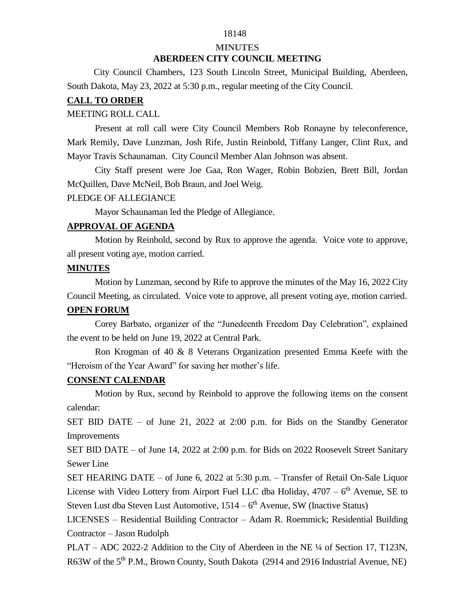# 18148

#### **MINUTES**

# **ABERDEEN CITY COUNCIL MEETING**

 City Council Chambers, 123 South Lincoln Street, Municipal Building, Aberdeen, South Dakota, May 23, 2022 at 5:30 p.m., regular meeting of the City Council.

## **CALL TO ORDER**

# MEETING ROLL CALL

Present at roll call were City Council Members Rob Ronayne by teleconference, Mark Remily, Dave Lunzman, Josh Rife, Justin Reinbold, Tiffany Langer, Clint Rux, and Mayor Travis Schaunaman. City Council Member Alan Johnson was absent.

City Staff present were Joe Gaa, Ron Wager, Robin Bobzien, Brett Bill, Jordan McQuillen, Dave McNeil, Bob Braun, and Joel Weig.

#### PLEDGE OF ALLEGIANCE

Mayor Schaunaman led the Pledge of Allegiance.

# **APPROVAL OF AGENDA**

Motion by Reinbold, second by Rux to approve the agenda. Voice vote to approve, all present voting aye, motion carried.

# **MINUTES**

Motion by Lunzman, second by Rife to approve the minutes of the May 16, 2022 City Council Meeting, as circulated. Voice vote to approve, all present voting aye, motion carried.

## **OPEN FORUM**

Corey Barbato, organizer of the "Junedeenth Freedom Day Celebration", explained the event to be held on June 19, 2022 at Central Park.

Ron Krogman of 40 & 8 Veterans Organization presented Emma Keefe with the "Heroism of the Year Award" for saving her mother's life.

# **CONSENT CALENDAR**

Motion by Rux, second by Reinbold to approve the following items on the consent calendar:

SET BID DATE – of June 21, 2022 at 2:00 p.m. for Bids on the Standby Generator Improvements

SET BID DATE – of June 14, 2022 at 2:00 p.m. for Bids on 2022 Roosevelt Street Sanitary Sewer Line

SET HEARING DATE – of June 6, 2022 at 5:30 p.m. – Transfer of Retail On-Sale Liquor License with Video Lottery from Airport Fuel LLC dba Holiday,  $4707 - 6<sup>th</sup>$  Avenue, SE to Steven Lust dba Steven Lust Automotive, 1514 – 6<sup>th</sup> Avenue, SW (Inactive Status)

LICENSES – Residential Building Contractor – Adam R. Roemmick; Residential Building Contractor – Jason Rudolph

PLAT – ADC 2022-2 Addition to the City of Aberdeen in the NE ¼ of Section 17, T123N, R63W of the 5<sup>th</sup> P.M., Brown County, South Dakota (2914 and 2916 Industrial Avenue, NE)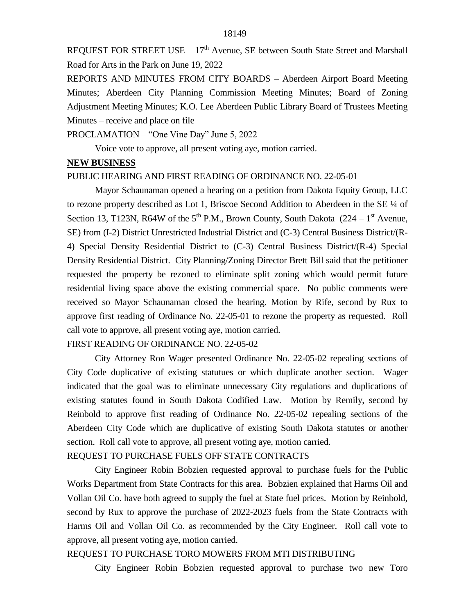REQUEST FOR STREET USE –  $17<sup>th</sup>$  Avenue, SE between South State Street and Marshall Road for Arts in the Park on June 19, 2022

REPORTS AND MINUTES FROM CITY BOARDS – Aberdeen Airport Board Meeting Minutes; Aberdeen City Planning Commission Meeting Minutes; Board of Zoning Adjustment Meeting Minutes; K.O. Lee Aberdeen Public Library Board of Trustees Meeting Minutes – receive and place on file

PROCLAMATION – "One Vine Day" June 5, 2022

Voice vote to approve, all present voting aye, motion carried.

### **NEW BUSINESS**

#### PUBLIC HEARING AND FIRST READING OF ORDINANCE NO. 22-05-01

Mayor Schaunaman opened a hearing on a petition from Dakota Equity Group, LLC to rezone property described as Lot 1, Briscoe Second Addition to Aberdeen in the SE ¼ of Section 13, T123N, R64W of the  $5<sup>th</sup>$  P.M., Brown County, South Dakota (224 – 1<sup>st</sup> Avenue, SE) from (I-2) District Unrestricted Industrial District and (C-3) Central Business District/(R-4) Special Density Residential District to (C-3) Central Business District/(R-4) Special Density Residential District. City Planning/Zoning Director Brett Bill said that the petitioner requested the property be rezoned to eliminate split zoning which would permit future residential living space above the existing commercial space. No public comments were received so Mayor Schaunaman closed the hearing. Motion by Rife, second by Rux to approve first reading of Ordinance No. 22-05-01 to rezone the property as requested. Roll call vote to approve, all present voting aye, motion carried.

# FIRST READING OF ORDINANCE NO. 22-05-02

City Attorney Ron Wager presented Ordinance No. 22-05-02 repealing sections of City Code duplicative of existing statutues or which duplicate another section. Wager indicated that the goal was to eliminate unnecessary City regulations and duplications of existing statutes found in South Dakota Codified Law. Motion by Remily, second by Reinbold to approve first reading of Ordinance No. 22-05-02 repealing sections of the Aberdeen City Code which are duplicative of existing South Dakota statutes or another section. Roll call vote to approve, all present voting aye, motion carried.

# REQUEST TO PURCHASE FUELS OFF STATE CONTRACTS

City Engineer Robin Bobzien requested approval to purchase fuels for the Public Works Department from State Contracts for this area. Bobzien explained that Harms Oil and Vollan Oil Co. have both agreed to supply the fuel at State fuel prices. Motion by Reinbold, second by Rux to approve the purchase of 2022-2023 fuels from the State Contracts with Harms Oil and Vollan Oil Co. as recommended by the City Engineer. Roll call vote to approve, all present voting aye, motion carried.

# REQUEST TO PURCHASE TORO MOWERS FROM MTI DISTRIBUTING

City Engineer Robin Bobzien requested approval to purchase two new Toro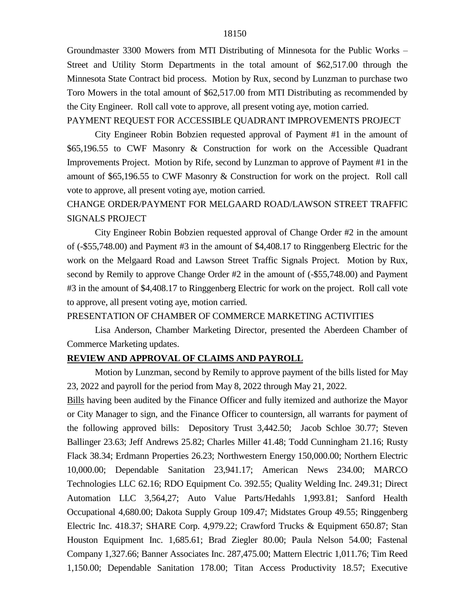Groundmaster 3300 Mowers from MTI Distributing of Minnesota for the Public Works – Street and Utility Storm Departments in the total amount of \$62,517.00 through the Minnesota State Contract bid process. Motion by Rux, second by Lunzman to purchase two Toro Mowers in the total amount of \$62,517.00 from MTI Distributing as recommended by the City Engineer. Roll call vote to approve, all present voting aye, motion carried.

# PAYMENT REQUEST FOR ACCESSIBLE QUADRANT IMPROVEMENTS PROJECT

City Engineer Robin Bobzien requested approval of Payment #1 in the amount of \$65,196.55 to CWF Masonry & Construction for work on the Accessible Quadrant Improvements Project. Motion by Rife, second by Lunzman to approve of Payment #1 in the amount of \$65,196.55 to CWF Masonry & Construction for work on the project. Roll call vote to approve, all present voting aye, motion carried.

# CHANGE ORDER/PAYMENT FOR MELGAARD ROAD/LAWSON STREET TRAFFIC SIGNALS PROJECT

City Engineer Robin Bobzien requested approval of Change Order #2 in the amount of (-\$55,748.00) and Payment #3 in the amount of \$4,408.17 to Ringgenberg Electric for the work on the Melgaard Road and Lawson Street Traffic Signals Project. Motion by Rux, second by Remily to approve Change Order #2 in the amount of (-\$55,748.00) and Payment #3 in the amount of \$4,408.17 to Ringgenberg Electric for work on the project. Roll call vote to approve, all present voting aye, motion carried.

### PRESENTATION OF CHAMBER OF COMMERCE MARKETING ACTIVITIES

Lisa Anderson, Chamber Marketing Director, presented the Aberdeen Chamber of Commerce Marketing updates.

# **REVIEW AND APPROVAL OF CLAIMS AND PAYROLL**

Motion by Lunzman, second by Remily to approve payment of the bills listed for May 23, 2022 and payroll for the period from May 8, 2022 through May 21, 2022.

Bills having been audited by the Finance Officer and fully itemized and authorize the Mayor or City Manager to sign, and the Finance Officer to countersign, all warrants for payment of the following approved bills: Depository Trust 3,442.50; Jacob Schloe 30.77; Steven Ballinger 23.63; Jeff Andrews 25.82; Charles Miller 41.48; Todd Cunningham 21.16; Rusty Flack 38.34; Erdmann Properties 26.23; Northwestern Energy 150,000.00; Northern Electric 10,000.00; Dependable Sanitation 23,941.17; American News 234.00; MARCO Technologies LLC 62.16; RDO Equipment Co. 392.55; Quality Welding Inc. 249.31; Direct Automation LLC 3,564,27; Auto Value Parts/Hedahls 1,993.81; Sanford Health Occupational 4,680.00; Dakota Supply Group 109.47; Midstates Group 49.55; Ringgenberg Electric Inc. 418.37; SHARE Corp. 4,979.22; Crawford Trucks & Equipment 650.87; Stan Houston Equipment Inc. 1,685.61; Brad Ziegler 80.00; Paula Nelson 54.00; Fastenal Company 1,327.66; Banner Associates Inc. 287,475.00; Mattern Electric 1,011.76; Tim Reed 1,150.00; Dependable Sanitation 178.00; Titan Access Productivity 18.57; Executive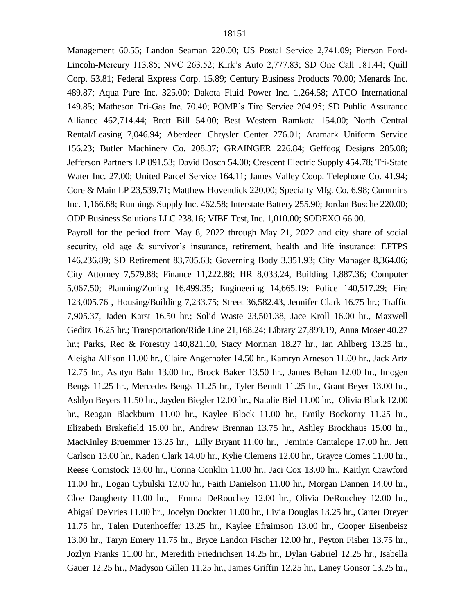Management 60.55; Landon Seaman 220.00; US Postal Service 2,741.09; Pierson Ford-Lincoln-Mercury 113.85; NVC 263.52; Kirk's Auto 2,777.83; SD One Call 181.44; Quill Corp. 53.81; Federal Express Corp. 15.89; Century Business Products 70.00; Menards Inc. 489.87; Aqua Pure Inc. 325.00; Dakota Fluid Power Inc. 1,264.58; ATCO International 149.85; Matheson Tri-Gas Inc. 70.40; POMP's Tire Service 204.95; SD Public Assurance Alliance 462,714.44; Brett Bill 54.00; Best Western Ramkota 154.00; North Central Rental/Leasing 7,046.94; Aberdeen Chrysler Center 276.01; Aramark Uniform Service 156.23; Butler Machinery Co. 208.37; GRAINGER 226.84; Geffdog Designs 285.08; Jefferson Partners LP 891.53; David Dosch 54.00; Crescent Electric Supply 454.78; Tri-State Water Inc. 27.00; United Parcel Service 164.11; James Valley Coop. Telephone Co. 41.94; Core & Main LP 23,539.71; Matthew Hovendick 220.00; Specialty Mfg. Co. 6.98; Cummins Inc. 1,166.68; Runnings Supply Inc. 462.58; Interstate Battery 255.90; Jordan Busche 220.00; ODP Business Solutions LLC 238.16; VIBE Test, Inc. 1,010.00; SODEXO 66.00.

Payroll for the period from May 8, 2022 through May 21, 2022 and city share of social security, old age & survivor's insurance, retirement, health and life insurance: EFTPS 146,236.89; SD Retirement 83,705.63; Governing Body 3,351.93; City Manager 8,364.06; City Attorney 7,579.88; Finance 11,222.88; HR 8,033.24, Building 1,887.36; Computer 5,067.50; Planning/Zoning 16,499.35; Engineering 14,665.19; Police 140,517.29; Fire 123,005.76 , Housing/Building 7,233.75; Street 36,582.43, Jennifer Clark 16.75 hr.; Traffic 7,905.37, Jaden Karst 16.50 hr.; Solid Waste 23,501.38, Jace Kroll 16.00 hr., Maxwell Geditz 16.25 hr.; Transportation/Ride Line 21,168.24; Library 27,899.19, Anna Moser 40.27 hr.; Parks, Rec & Forestry 140,821.10, Stacy Morman 18.27 hr., Ian Ahlberg 13.25 hr., Aleigha Allison 11.00 hr., Claire Angerhofer 14.50 hr., Kamryn Arneson 11.00 hr., Jack Artz 12.75 hr., Ashtyn Bahr 13.00 hr., Brock Baker 13.50 hr., James Behan 12.00 hr., Imogen Bengs 11.25 hr., Mercedes Bengs 11.25 hr., Tyler Berndt 11.25 hr., Grant Beyer 13.00 hr., Ashlyn Beyers 11.50 hr., Jayden Biegler 12.00 hr., Natalie Biel 11.00 hr., Olivia Black 12.00 hr., Reagan Blackburn 11.00 hr., Kaylee Block 11.00 hr., Emily Bockorny 11.25 hr., Elizabeth Brakefield 15.00 hr., Andrew Brennan 13.75 hr., Ashley Brockhaus 15.00 hr., MacKinley Bruemmer 13.25 hr., Lilly Bryant 11.00 hr., Jeminie Cantalope 17.00 hr., Jett Carlson 13.00 hr., Kaden Clark 14.00 hr., Kylie Clemens 12.00 hr., Grayce Comes 11.00 hr., Reese Comstock 13.00 hr., Corina Conklin 11.00 hr., Jaci Cox 13.00 hr., Kaitlyn Crawford 11.00 hr., Logan Cybulski 12.00 hr., Faith Danielson 11.00 hr., Morgan Dannen 14.00 hr., Cloe Daugherty 11.00 hr., Emma DeRouchey 12.00 hr., Olivia DeRouchey 12.00 hr., Abigail DeVries 11.00 hr., Jocelyn Dockter 11.00 hr., Livia Douglas 13.25 hr., Carter Dreyer 11.75 hr., Talen Dutenhoeffer 13.25 hr., Kaylee Efraimson 13.00 hr., Cooper Eisenbeisz 13.00 hr., Taryn Emery 11.75 hr., Bryce Landon Fischer 12.00 hr., Peyton Fisher 13.75 hr., Jozlyn Franks 11.00 hr., Meredith Friedrichsen 14.25 hr., Dylan Gabriel 12.25 hr., Isabella Gauer 12.25 hr., Madyson Gillen 11.25 hr., James Griffin 12.25 hr., Laney Gonsor 13.25 hr.,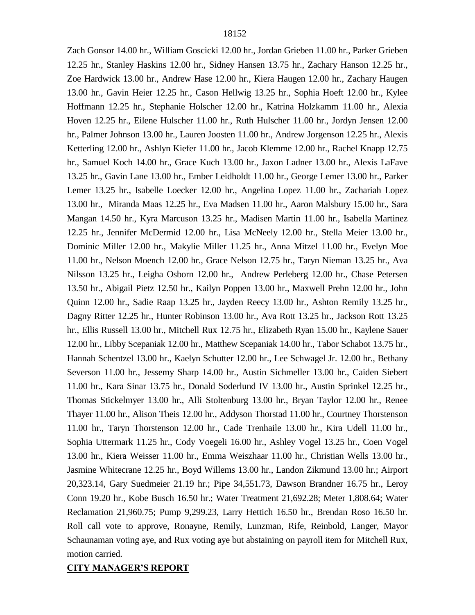Zach Gonsor 14.00 hr., William Goscicki 12.00 hr., Jordan Grieben 11.00 hr., Parker Grieben 12.25 hr., Stanley Haskins 12.00 hr., Sidney Hansen 13.75 hr., Zachary Hanson 12.25 hr., Zoe Hardwick 13.00 hr., Andrew Hase 12.00 hr., Kiera Haugen 12.00 hr., Zachary Haugen 13.00 hr., Gavin Heier 12.25 hr., Cason Hellwig 13.25 hr., Sophia Hoeft 12.00 hr., Kylee Hoffmann 12.25 hr., Stephanie Holscher 12.00 hr., Katrina Holzkamm 11.00 hr., Alexia Hoven 12.25 hr., Eilene Hulscher 11.00 hr., Ruth Hulscher 11.00 hr., Jordyn Jensen 12.00 hr., Palmer Johnson 13.00 hr., Lauren Joosten 11.00 hr., Andrew Jorgenson 12.25 hr., Alexis Ketterling 12.00 hr., Ashlyn Kiefer 11.00 hr., Jacob Klemme 12.00 hr., Rachel Knapp 12.75 hr., Samuel Koch 14.00 hr., Grace Kuch 13.00 hr., Jaxon Ladner 13.00 hr., Alexis LaFave 13.25 hr., Gavin Lane 13.00 hr., Ember Leidholdt 11.00 hr., George Lemer 13.00 hr., Parker Lemer 13.25 hr., Isabelle Loecker 12.00 hr., Angelina Lopez 11.00 hr., Zachariah Lopez 13.00 hr., Miranda Maas 12.25 hr., Eva Madsen 11.00 hr., Aaron Malsbury 15.00 hr., Sara Mangan 14.50 hr., Kyra Marcuson 13.25 hr., Madisen Martin 11.00 hr., Isabella Martinez 12.25 hr., Jennifer McDermid 12.00 hr., Lisa McNeely 12.00 hr., Stella Meier 13.00 hr., Dominic Miller 12.00 hr., Makylie Miller 11.25 hr., Anna Mitzel 11.00 hr., Evelyn Moe 11.00 hr., Nelson Moench 12.00 hr., Grace Nelson 12.75 hr., Taryn Nieman 13.25 hr., Ava Nilsson 13.25 hr., Leigha Osborn 12.00 hr., Andrew Perleberg 12.00 hr., Chase Petersen 13.50 hr., Abigail Pietz 12.50 hr., Kailyn Poppen 13.00 hr., Maxwell Prehn 12.00 hr., John Quinn 12.00 hr., Sadie Raap 13.25 hr., Jayden Reecy 13.00 hr., Ashton Remily 13.25 hr., Dagny Ritter 12.25 hr., Hunter Robinson 13.00 hr., Ava Rott 13.25 hr., Jackson Rott 13.25 hr., Ellis Russell 13.00 hr., Mitchell Rux 12.75 hr., Elizabeth Ryan 15.00 hr., Kaylene Sauer 12.00 hr., Libby Scepaniak 12.00 hr., Matthew Scepaniak 14.00 hr., Tabor Schabot 13.75 hr., Hannah Schentzel 13.00 hr., Kaelyn Schutter 12.00 hr., Lee Schwagel Jr. 12.00 hr., Bethany Severson 11.00 hr., Jessemy Sharp 14.00 hr., Austin Sichmeller 13.00 hr., Caiden Siebert 11.00 hr., Kara Sinar 13.75 hr., Donald Soderlund IV 13.00 hr., Austin Sprinkel 12.25 hr., Thomas Stickelmyer 13.00 hr., Alli Stoltenburg 13.00 hr., Bryan Taylor 12.00 hr., Renee Thayer 11.00 hr., Alison Theis 12.00 hr., Addyson Thorstad 11.00 hr., Courtney Thorstenson 11.00 hr., Taryn Thorstenson 12.00 hr., Cade Trenhaile 13.00 hr., Kira Udell 11.00 hr., Sophia Uttermark 11.25 hr., Cody Voegeli 16.00 hr., Ashley Vogel 13.25 hr., Coen Vogel 13.00 hr., Kiera Weisser 11.00 hr., Emma Weiszhaar 11.00 hr., Christian Wells 13.00 hr., Jasmine Whitecrane 12.25 hr., Boyd Willems 13.00 hr., Landon Zikmund 13.00 hr.; Airport 20,323.14, Gary Suedmeier 21.19 hr.; Pipe 34,551.73, Dawson Brandner 16.75 hr., Leroy Conn 19.20 hr., Kobe Busch 16.50 hr.; Water Treatment 21,692.28; Meter 1,808.64; Water Reclamation 21,960.75; Pump 9,299.23, Larry Hettich 16.50 hr., Brendan Roso 16.50 hr. Roll call vote to approve, Ronayne, Remily, Lunzman, Rife, Reinbold, Langer, Mayor Schaunaman voting aye, and Rux voting aye but abstaining on payroll item for Mitchell Rux, motion carried.

## **CITY MANAGER'S REPORT**